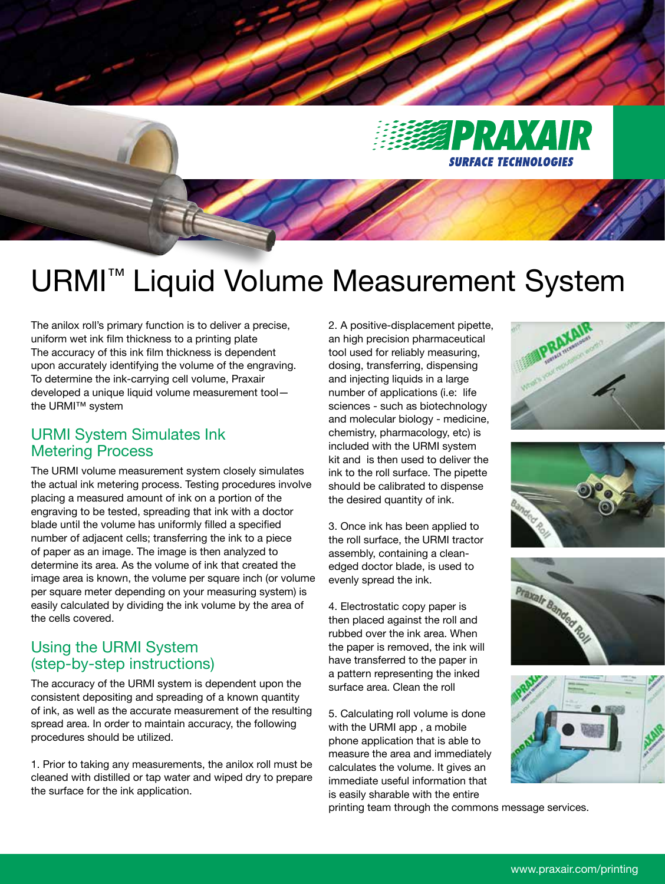

# URMI™ Liquid Volume Measurement System

The anilox roll's primary function is to deliver a precise, uniform wet ink film thickness to a printing plate The accuracy of this ink film thickness is dependent upon accurately identifying the volume of the engraving. To determine the ink-carrying cell volume, Praxair developed a unique liquid volume measurement tool the URMI™ system

# URMI System Simulates Ink Metering Process

The URMI volume measurement system closely simulates the actual ink metering process. Testing procedures involve placing a measured amount of ink on a portion of the engraving to be tested, spreading that ink with a doctor blade until the volume has uniformly filled a specified number of adjacent cells; transferring the ink to a piece of paper as an image. The image is then analyzed to determine its area. As the volume of ink that created the image area is known, the volume per square inch (or volume per square meter depending on your measuring system) is easily calculated by dividing the ink volume by the area of the cells covered.

## Using the URMI System (step-by-step instructions)

The accuracy of the URMI system is dependent upon the consistent depositing and spreading of a known quantity of ink, as well as the accurate measurement of the resulting spread area. In order to maintain accuracy, the following procedures should be utilized.

1. Prior to taking any measurements, the anilox roll must be cleaned with distilled or tap water and wiped dry to prepare the surface for the ink application.

2. A positive-displacement pipette, an high precision pharmaceutical tool used for reliably measuring, dosing, transferring, dispensing and injecting liquids in a large number of applications (i.e: life sciences - such as biotechnology and molecular biology - medicine, chemistry, pharmacology, etc) is included with the URMI system kit and is then used to deliver the ink to the roll surface. The pipette should be calibrated to dispense the desired quantity of ink.

3. Once ink has been applied to the roll surface, the URMI tractor assembly, containing a cleanedged doctor blade, is used to evenly spread the ink.

4. Electrostatic copy paper is then placed against the roll and rubbed over the ink area. When the paper is removed, the ink will have transferred to the paper in a pattern representing the inked surface area. Clean the roll

5. Calculating roll volume is done with the URMI app , a mobile phone application that is able to measure the area and immediately calculates the volume. It gives an immediate useful information that is easily sharable with the entire

printing team through the commons message services.